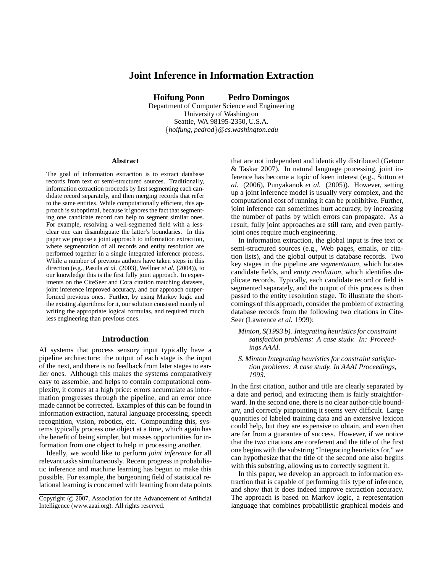# **Joint Inference in Information Extraction**

**Hoifung Poon Pedro Domingos**

Department of Computer Science and Engineering University of Washington Seattle, WA 98195-2350, U.S.A. {*hoifung, pedrod*}*@cs.washington.edu*

#### **Abstract**

The goal of information extraction is to extract database records from text or semi-structured sources. Traditionally, information extraction proceeds by first segmenting each candidate record separately, and then merging records that refer to the same entities. While computationally efficient, this approach is suboptimal, because it ignores the fact that segmenting one candidate record can help to segment similar ones. For example, resolving a well-segmented field with a lessclear one can disambiguate the latter's boundaries. In this paper we propose a joint approach to information extraction, where segmentation of all records and entity resolution are performed together in a single integrated inference process. While a number of previous authors have taken steps in this direction (e.g., Pasula *et al.* (2003), Wellner *et al.* (2004)), to our knowledge this is the first fully joint approach. In experiments on the CiteSeer and Cora citation matching datasets, joint inference improved accuracy, and our approach outperformed previous ones. Further, by using Markov logic and the existing algorithms for it, our solution consisted mainly of writing the appropriate logical formulas, and required much less engineering than previous ones.

### **Introduction**

AI systems that process sensory input typically have a pipeline architecture: the output of each stage is the input of the next, and there is no feedback from later stages to earlier ones. Although this makes the systems comparatively easy to assemble, and helps to contain computational complexity, it comes at a high price: errors accumulate as information progresses through the pipeline, and an error once made cannot be corrected. Examples of this can be found in information extraction, natural language processing, speech recognition, vision, robotics, etc. Compounding this, systems typically process one object at a time, which again has the benefit of being simpler, but misses opportunities for information from one object to help in processing another.

Ideally, we would like to perform *joint inference* for all relevant tasks simultaneously. Recent progress in probabilistic inference and machine learning has begun to make this possible. For example, the burgeoning field of statistical relational learning is concerned with learning from data points

that are not independent and identically distributed (Getoor & Taskar 2007). In natural language processing, joint inference has become a topic of keen interest (e.g., Sutton *et al.* (2006), Punyakanok *et al.* (2005)). However, setting up a joint inference model is usually very complex, and the computational cost of running it can be prohibitive. Further, joint inference can sometimes hurt accuracy, by increasing the number of paths by which errors can propagate. As a result, fully joint approaches are still rare, and even partlyjoint ones require much engineering.

In information extraction, the global input is free text or semi-structured sources (e.g., Web pages, emails, or citation lists), and the global output is database records. Two key stages in the pipeline are *segmentation*, which locates candidate fields, and *entity resolution*, which identifies duplicate records. Typically, each candidate record or field is segmented separately, and the output of this process is then passed to the entity resolution stage. To illustrate the shortcomings of this approach, consider the problem of extracting database records from the following two citations in Cite-Seer (Lawrence *et al.* 1999):

- *Minton, S(1993 b). Integrating heuristics for constraint satisfaction problems: A case study. In: Proceedings AAAI.*
- *S. Minton Integrating heuristics for constraint satisfaction problems: A case study. In AAAI Proceedings, 1993.*

In the first citation, author and title are clearly separated by a date and period, and extracting them is fairly straightforward. In the second one, there is no clear author-title boundary, and correctly pinpointing it seems very difficult. Large quantities of labeled training data and an extensive lexicon could help, but they are expensive to obtain, and even then are far from a guarantee of success. However, if we notice that the two citations are coreferent and the title of the first one begins with the substring "Integrating heuristics for," we can hypothesize that the title of the second one also begins with this substring, allowing us to correctly segment it.

In this paper, we develop an approach to information extraction that is capable of performing this type of inference, and show that it does indeed improve extraction accuracy. The approach is based on Markov logic, a representation language that combines probabilistic graphical models and

Copyright (c) 2007, Association for the Advancement of Artificial Intelligence (www.aaai.org). All rights reserved.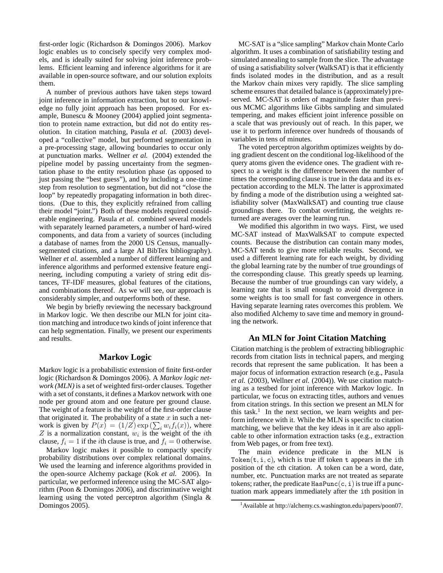first-order logic (Richardson & Domingos 2006). Markov logic enables us to concisely specify very complex models, and is ideally suited for solving joint inference problems. Efficient learning and inference algorithms for it are available in open-source software, and our solution exploits them.

A number of previous authors have taken steps toward joint inference in information extraction, but to our knowledge no fully joint approach has been proposed. For example, Bunescu & Mooney (2004) applied joint segmentation to protein name extraction, but did not do entity resolution. In citation matching, Pasula *et al.* (2003) developed a "collective" model, but performed segmentation in a pre-processing stage, allowing boundaries to occur only at punctuation marks. Wellner *et al.* (2004) extended the pipeline model by passing uncertainty from the segmentation phase to the entity resolution phase (as opposed to just passing the "best guess"), and by including a one-time step from resolution to segmentation, but did not "close the loop" by repeatedly propagating information in both directions. (Due to this, they explicitly refrained from calling their model "joint.") Both of these models required considerable engineering. Pasula *et al.* combined several models with separately learned parameters, a number of hard-wired components, and data from a variety of sources (including a database of names from the 2000 US Census, manuallysegmented citations, and a large AI BibTex bibliography). Wellner *et al.* assembled a number of different learning and inference algorithms and performed extensive feature engineering, including computing a variety of string edit distances, TF-IDF measures, global features of the citations, and combinations thereof. As we will see, our approach is considerably simpler, and outperforms both of these.

We begin by briefly reviewing the necessary background in Markov logic. We then describe our MLN for joint citation matching and introduce two kinds of joint inference that can help segmentation. Finally, we present our experiments and results.

## **Markov Logic**

Markov logic is a probabilistic extension of finite first-order logic (Richardson & Domingos 2006). A *Markov logic network (MLN)* is a set of weighted first-order clauses. Together with a set of constants, it defines a Markov network with one node per ground atom and one feature per ground clause. The weight of a feature is the weight of the first-order clause that originated it. The probability of a state  $x$  in such a network is given by  $P(x) = (1/Z) \exp(\sum_i w_i f_i(x))$ , where  $Z$  is a normalization constant,  $w_i$  is the weight of the *i*th clause,  $f_i = 1$  if the *i*th clause is true, and  $f_i = 0$  otherwise.

Markov logic makes it possible to compactly specify probability distributions over complex relational domains. We used the learning and inference algorithms provided in the open-source Alchemy package (Kok *et al.* 2006). In particular, we performed inference using the MC-SAT algorithm (Poon & Domingos 2006), and discriminative weight learning using the voted perceptron algorithm (Singla & Domingos 2005).

MC-SAT is a "slice sampling" Markov chain Monte Carlo algorithm. It uses a combination of satisfiability testing and simulated annealing to sample from the slice. The advantage of using a satisfiability solver (WalkSAT) is that it efficiently finds isolated modes in the distribution, and as a result the Markov chain mixes very rapidly. The slice sampling scheme ensures that detailed balance is (approximately) preserved. MC-SAT is orders of magnitude faster than previous MCMC algorithms like Gibbs sampling and simulated tempering, and makes efficient joint inference possible on a scale that was previously out of reach. In this paper, we use it to perform inference over hundreds of thousands of variables in tens of minutes.

The voted perceptron algorithm optimizes weights by doing gradient descent on the conditional log-likelihood of the query atoms given the evidence ones. The gradient with respect to a weight is the difference between the number of times the corresponding clause is true in the data and its expectation according to the MLN. The latter is approximated by finding a mode of the distribution using a weighted satisfiability solver (MaxWalkSAT) and counting true clause groundings there. To combat overfitting, the weights returned are averages over the learning run.

We modified this algorithm in two ways. First, we used MC-SAT instead of MaxWalkSAT to compute expected counts. Because the distribution can contain many modes, MC-SAT tends to give more reliable results. Second, we used a different learning rate for each weight, by dividing the global learning rate by the number of true groundings of the corresponding clause. This greatly speeds up learning. Because the number of true groundings can vary widely, a learning rate that is small enough to avoid divergence in some weights is too small for fast convergence in others. Having separate learning rates overcomes this problem. We also modified Alchemy to save time and memory in grounding the network.

### **An MLN for Joint Citation Matching**

Citation matching is the problem of extracting bibliographic records from citation lists in technical papers, and merging records that represent the same publication. It has been a major focus of information extraction research (e.g., Pasula *et al.* (2003), Wellner *et al.* (2004)). We use citation matching as a testbed for joint inference with Markov logic. In particular, we focus on extracting titles, authors and venues from citation strings. In this section we present an MLN for this task.<sup>1</sup> In the next section, we learn weights and perform inference with it. While the MLN is specific to citation matching, we believe that the key ideas in it are also applicable to other information extraction tasks (e.g., extraction from Web pages, or from free text).

The main evidence predicate in the MLN is Token $(t, i, c)$ , which is true iff token t appears in the ith position of the cth citation. A token can be a word, date, number, etc. Punctuation marks are not treated as separate tokens; rather, the predicate  $\text{HasPunc}(c, i)$  is true iff a punctuation mark appears immediately after the ith position in

<sup>&</sup>lt;sup>1</sup>Available at http://alchemy.cs.washington.edu/papers/poon07.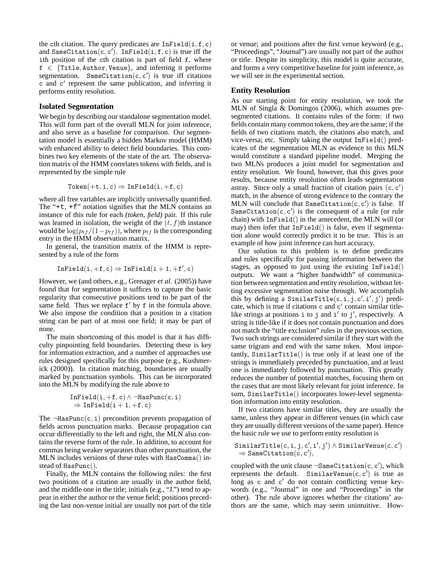the cth citation. The query predicates are  $Infield(i, f, c)$ and SameCitation(c, c'). InField(i, f, c) is true iff the ith position of the cth citation is part of field f, where  $f \in \{$ Title, Author, Venue}, and inferring it performs segmentation. SameCitation(c, c') is true iff citations c and c ′ represent the same publication, and inferring it performs entity resolution.

### **Isolated Segmentation**

We begin by describing our standalone segmentation model. This will form part of the overall MLN for joint inference, and also serve as a baseline for comparison. Our segmentation model is essentially a hidden Markov model (HMM) with enhanced ability to detect field boundaries. This combines two key elements of the state of the art. The observation matrix of the HMM correlates tokens with fields, and is represented by the simple rule

$$
\mathtt{Token}(+\mathtt{t},\mathtt{i},\mathtt{c}) \Rightarrow \mathtt{Infield}(\mathtt{i},+\mathtt{f},\mathtt{c})
$$

where all free variables are implicitly universally quantified. The "+ $t$ , + $f$ " notation signifies that the MLN contains an instance of this rule for each *(token, field)* pair. If this rule was learned in isolation, the weight of the  $(t, f)$ th instance would be  $\log(p_{tf}/(1-p_{tf}))$ , where  $p_{tf}$  is the corresponding entry in the HMM observation matrix.

In general, the transition matrix of the HMM is represented by a rule of the form

$$
\mathtt{Infield}(i, +f, c) \Rightarrow \mathtt{Infield}(i+1, +f', c)
$$

However, we (and others, e.g., Grenager *et al.* (2005)) have found that for segmentation it suffices to capture the basic regularity that consecutive positions tend to be part of the same field. Thus we replace f' by f in the formula above. We also impose the condition that a position in a citation string can be part of at most one field; it may be part of none.

The main shortcoming of this model is that it has difficulty pinpointing field boundaries. Detecting these is key for information extraction, and a number of approaches use rules designed specifically for this purpose (e.g., Kushmerick (2000)). In citation matching, boundaries are usually marked by punctuation symbols. This can be incorporated into the MLN by modifying the rule above to

$$
\begin{array}{l}\n\texttt{Infield}(i, +f, c) \land \neg \texttt{HasPunc}(c, i) \\
\Rightarrow \texttt{Infield}(i + 1, +f, c)\n\end{array}
$$

The  $\neg$ HasPunc(c, i) precondition prevents propagation of fields across punctuation marks. Because propagation can occur differentially to the left and right, the MLN also contains the reverse form of the rule. In addition, to account for commas being weaker separators than other punctuation, the MLN includes versions of these rules with HasComma() instead of HasPunc().

Finally, the MLN contains the following rules: the first two positions of a citation are usually in the author field, and the middle one in the title; initials (e.g., "J.") tend to appear in either the author or the venue field; positions preceding the last non-venue initial are usually not part of the title

or venue; and positions after the first venue keyword (e.g., "Proceedings", "Journal") are usually not part of the author or title. Despite its simplicity, this model is quite accurate, and forms a very competitive baseline for joint inference, as we will see in the experimental section.

### **Entity Resolution**

As our starting point for entity resolution, we took the MLN of Singla & Domingos (2006), which assumes presegmented citations. It contains rules of the form: if two fields contain many common tokens, they are the same; if the fields of two citations match, the citations also match, and vice-versa; etc. Simply taking the output InField() predicates of the segmentation MLN as evidence to this MLN would constitute a standard pipeline model. Merging the two MLNs produces a joint model for segmentation and entity resolution. We found, however, that this gives poor results, because entity resolution often leads segmentation astray. Since only a small fraction of citation pairs  $(c, c')$ match, in the absence of strong evidence to the contrary the MLN will conclude that  $SameCitation(c, c')$  is false. If SameCitation(c, c') is the consequent of a rule (or rule chain) with InField() in the antecedent, the MLN will (or may) then infer that InField() is false, even if segmentation alone would correctly predict it to be true. This is an example of how joint inference can hurt accuracy.

Our solution to this problem is to define predicates and rules specifically for passing information between the stages, as opposed to just using the existing InField() outputs. We want a "higher bandwidth" of communication between segmentation and entity resolution, without letting excessive segmentation noise through. We accomplish this by defining a SimilarTitle(c, i, j, c', i', j') predicate, which is true if citations c and c' contain similar titlelike strings at positions  $\mathbf i$  to  $\mathbf j$  and  $\mathbf i'$  to  $\mathbf j'$ , respectively. A string is title-like if it does not contain punctuation and does not match the "title exclusion" rules in the previous section. Two such strings are considered similar if they start with the same trigram and end with the same token. Most importantly, SimilarTitle() is true only if at least one of the strings is immediately preceded by punctuation, and at least one is immediately followed by punctuation. This greatly reduces the number of potential matches, focusing them on the cases that are most likely relevant for joint inference. In sum, SimilarTitle() incorporates lower-level segmentation information into entity resolution.

If two citations have similar titles, they are usually the same, unless they appear in different venues (in which case they are usually different versions of the same paper). Hence the basic rule we use to perform entity resolution is

```
\texttt{SimilarTitle}(c, i, j, c', i', j') \wedge \texttt{SimilarVenue}(c, c')\Rightarrow SameCitation(c, c'),
```
coupled with the unit clause  $\neg$ SameCitation(c, c'), which represents the default. SimilarVenue $(c, c')$  is true as long as c and c' do not contain conflicting venue keywords (e.g., "Journal" in one and "Proceedings" in the other). The rule above ignores whether the citations' authors are the same, which may seem unintuitive. How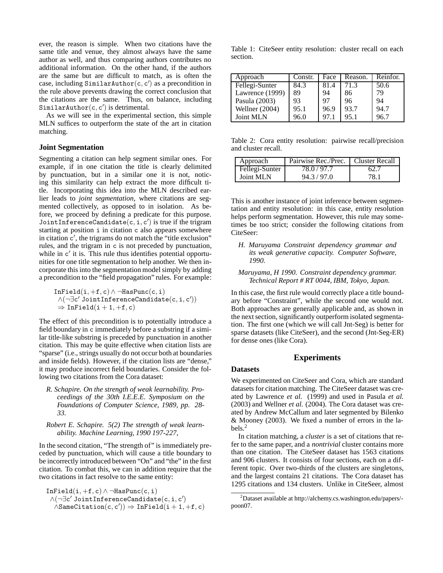ever, the reason is simple. When two citations have the same title and venue, they almost always have the same author as well, and thus comparing authors contributes no additional information. On the other hand, if the authors are the same but are difficult to match, as is often the case, including SimilarAuthor(c, c') as a precondition in the rule above prevents drawing the correct conclusion that the citations are the same. Thus, on balance, including SimilarAuthor $(c, c')$  is detrimental.

As we will see in the experimental section, this simple MLN suffices to outperform the state of the art in citation matching.

### **Joint Segmentation**

Segmenting a citation can help segment similar ones. For example, if in one citation the title is clearly delimited by punctuation, but in a similar one it is not, noticing this similarity can help extract the more difficult title. Incorporating this idea into the MLN described earlier leads to *joint segmentation*, where citations are segmented collectively, as opposed to in isolation. As before, we proceed by defining a predicate for this purpose. JointInferenceCandidate(c, i, c') is true if the trigram starting at position i in citation c also appears somewhere in citation  $c'$ , the trigrams do not match the "title exclusion" rules, and the trigram in c is not preceded by punctuation, while in c' it is. This rule thus identifies potential opportunities for one title segmentation to help another. We then incorporate this into the segmentation model simply by adding a precondition to the "field propagation" rules. For example:

 $Infield(i, +f, c) \wedge \neg HasPunc(c, i)$  $\wedge$ (¬∃c'JointInferenceCandidate(c,i,c'))  $\Rightarrow$  InField(i + 1, +f, c)

The effect of this precondition is to potentially introduce a field boundary in c immediately before a substring if a similar title-like substring is preceded by punctuation in another citation. This may be quite effective when citation lists are "sparse" (i.e., strings usually do not occur both at boundaries and inside fields). However, if the citation lists are "dense," it may produce incorrect field boundaries. Consider the following two citations from the Cora dataset:

*R. Schapire. On the strength of weak learnability. Proceedings of the 30th I.E.E.E. Symposium on the Foundations of Computer Science, 1989, pp. 28- 33.*

### *Robert E. Schapire. 5(2) The strength of weak learnability. Machine Learning, 1990 197-227,*

In the second citation, "The strength of" is immediately preceded by punctuation, which will cause a title boundary to be incorrectly introduced between "On" and "the" in the first citation. To combat this, we can in addition require that the two citations in fact resolve to the same entity:

$$
\begin{array}{l} \texttt{Infield}(i, +f, c) \wedge \neg \texttt{HasPunc}(c, i) \\ \wedge (\neg \exists c' \texttt{JointInferenceCandidate}(c, i, c') \\ \wedge \texttt{SameCitation}(c, c')) \Rightarrow \texttt{Infield}(i+1, +f, c) \end{array}
$$

Table 1: CiteSeer entity resolution: cluster recall on each section.

| Approach        | Constr. | Face | Reason. | Reinfor. |
|-----------------|---------|------|---------|----------|
| Fellegi-Sunter  | 84.3    | 81.4 | 71.3    | 50.6     |
| Lawrence (1999) | 89      | 94   | 86      | 79       |
| Pasula (2003)   | 93      | 97   | 96      | 94       |
| Wellner (2004)  | 95.1    | 96.9 | 93.7    | 94.7     |
| Joint MLN       | 96.0    | 97.1 | 95.1    | 96.7     |

Table 2: Cora entity resolution: pairwise recall/precision and cluster recall.

| Approach       | Pairwise Rec./Prec.   Cluster Recall |      |
|----------------|--------------------------------------|------|
| Fellegi-Sunter | 78.0/97.7                            |      |
| Joint MLN      | 94.3 / 97.0                          | 78 - |

This is another instance of joint inference between segmentation and entity resolution: in this case, entity resolution helps perform segmentation. However, this rule may sometimes be too strict; consider the following citations from CiteSeer:

- *H. Maruyama Constraint dependency grammar and its weak generative capacity. Computer Software, 1990.*
- *Maruyama, H 1990. Constraint dependency grammar. Technical Report # RT 0044, IBM, Tokyo, Japan.*

In this case, the first rule would correctly place a title boundary before "Constraint", while the second one would not. Both approaches are generally applicable and, as shown in the next section, significantly outperform isolated segmentation. The first one (which we will call Jnt-Seg) is better for sparse datasets (like CiteSeer), and the second (Jnt-Seg-ER) for dense ones (like Cora).

## **Experiments**

## **Datasets**

We experimented on CiteSeer and Cora, which are standard datasets for citation matching. The CiteSeer dataset was created by Lawrence *et al.* (1999) and used in Pasula *et al.* (2003) and Wellner *et al.* (2004). The Cora dataset was created by Andrew McCallum and later segmented by Bilenko & Mooney (2003). We fixed a number of errors in the labels.<sup>2</sup>

In citation matching, a *cluster* is a set of citations that refer to the same paper, and a *nontrivial* cluster contains more than one citation. The CiteSeer dataset has 1563 citations and 906 clusters. It consists of four sections, each on a different topic. Over two-thirds of the clusters are singletons, and the largest contains 21 citations. The Cora dataset has 1295 citations and 134 clusters. Unlike in CiteSeer, almost

<sup>2</sup>Dataset available at http://alchemy.cs.washington.edu/papers/ poon07.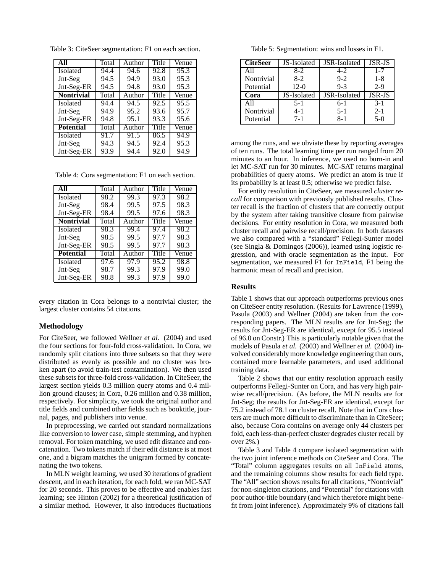| All               | Total | Author | Title | Venue |
|-------------------|-------|--------|-------|-------|
| <b>Isolated</b>   | 94.4  | 94.6   | 92.8  | 95.3  |
| Jnt-Seg           | 94.5  | 94.9   | 93.0  | 95.3  |
| Jnt-Seg-ER        | 94.5  | 94.8   | 93.0  | 95.3  |
| <b>Nontrivial</b> | Total | Author | Title | Venue |
| <b>Isolated</b>   | 94.4  | 94.5   | 92.5  | 95.5  |
| Jnt-Seg           | 94.9  | 95.2   | 93.6  | 95.7  |
| Jnt-Seg-ER        | 94.8  | 95.1   | 93.3  | 95.6  |
| <b>Potential</b>  | Total | Author | Title | Venue |
| <b>Isolated</b>   | 91.7  | 91.5   | 86.5  | 94.9  |
| Jnt-Seg           | 94.3  | 94.5   | 92.4  | 95.3  |
| Jnt-Seg-ER        | 93.9  | 94.4   | 92.0  | 94.9  |

Table 3: CiteSeer segmentation: F1 on each section.

Table 4: Cora segmentation: F1 on each section.

| AII               | Total | Author | Title | Venue |
|-------------------|-------|--------|-------|-------|
| Isolated          | 98.2  | 99.3   | 97.3  | 98.2  |
| Jnt-Seg           | 98.4  | 99.5   | 97.5  | 98.3  |
| Jnt-Seg-ER        | 98.4  | 99.5   | 97.6  | 98.3  |
| <b>Nontrivial</b> | Total | Author | Title | Venue |
| Isolated          | 98.3  | 99.4   | 97.4  | 98.2  |
| Jnt-Seg           | 98.5  | 99.5   | 97.7  | 98.3  |
| Jnt-Seg-ER        | 98.5  | 99.5   | 97.7  | 98.3  |
| <b>Potential</b>  | Total | Author | Title | Venue |
| Isolated          | 97.6  | 97.9   | 95.2  | 98.8  |
| Jnt-Seg           | 98.7  | 99.3   | 97.9  | 99.0  |
| Jnt-Seg-ER        | 98.8  | 99.3   | 97.9  | 99.0  |

every citation in Cora belongs to a nontrivial cluster; the largest cluster contains 54 citations.

#### **Methodology**

For CiteSeer, we followed Wellner *et al.* (2004) and used the four sections for four-fold cross-validation. In Cora, we randomly split citations into three subsets so that they were distributed as evenly as possible and no cluster was broken apart (to avoid train-test contamination). We then used these subsets for three-fold cross-validation. In CiteSeer, the largest section yields 0.3 million query atoms and 0.4 million ground clauses; in Cora, 0.26 million and 0.38 million, respectively. For simplicity, we took the original author and title fields and combined other fields such as booktitle, journal, pages, and publishers into venue.

In preprocessing, we carried out standard normalizations like conversion to lower case, simple stemming, and hyphen removal. For token matching, we used edit distance and concatenation. Two tokens match if their edit distance is at most one, and a bigram matches the unigram formed by concatenating the two tokens.

In MLN weight learning, we used 30 iterations of gradient descent, and in each iteration, for each fold, we ran MC-SAT for 20 seconds. This proves to be effective and enables fast learning; see Hinton (2002) for a theoretical justification of a similar method. However, it also introduces fluctuations

Table 5: Segmentation: wins and losses in F1.

| <b>CiteSeer</b> | JS-Isolated | JSR-Isolated | JSR-JS  |
|-----------------|-------------|--------------|---------|
| A11             | $8-2$       | $4 - 2$      | $1 - 7$ |
| Nontrivial      | $8-2$       | $9 - 2$      | $1 - 8$ |
| Potential       | $12-0$      | $9-3$        | $2-9$   |
| Cora            | JS-Isolated | JSR-Isolated | JSR-JS  |
| A11             | $5 - 1$     | $6-1$        | $3 - 1$ |
| Nontrivial      | 4-1         | $5-1$        | $2 - 1$ |
| Potential       | $7 - 1$     | $8-1$        | $5-0$   |

among the runs, and we obviate these by reporting averages of ten runs. The total learning time per run ranged from 20 minutes to an hour. In inference, we used no burn-in and let MC-SAT run for 30 minutes. MC-SAT returns marginal probabilities of query atoms. We predict an atom is true if its probability is at least 0.5; otherwise we predict false.

For entity resolution in CiteSeer, we measured *cluster recall* for comparison with previously published results. Cluster recall is the fraction of clusters that are correctly output by the system after taking transitive closure from pairwise decisions. For entity resolution in Cora, we measured both cluster recall and pairwise recall/precision. In both datasets we also compared with a "standard" Fellegi-Sunter model (see Singla & Domingos (2006)), learned using logistic regression, and with oracle segmentation as the input. For segmentation, we measured F1 for InField, F1 being the harmonic mean of recall and precision.

#### **Results**

Table 1 shows that our approach outperforms previous ones on CiteSeer entity resolution. (Results for Lawrence (1999), Pasula (2003) and Wellner (2004) are taken from the corresponding papers. The MLN results are for Jnt-Seg; the results for Jnt-Seg-ER are identical, except for 95.5 instead of 96.0 on Constr.) This is particularly notable given that the models of Pasula *et al.* (2003) and Wellner *et al.* (2004) involved considerably more knowledge engineering than ours, contained more learnable parameters, and used additional training data.

Table 2 shows that our entity resolution approach easily outperforms Fellegi-Sunter on Cora, and has very high pairwise recall/precision. (As before, the MLN results are for Jnt-Seg; the results for Jnt-Seg-ER are identical, except for 75.2 instead of 78.1 on cluster recall. Note that in Cora clusters are much more difficult to discriminate than in CiteSeer; also, because Cora contains on average only 44 clusters per fold, each less-than-perfect cluster degrades cluster recall by over 2%.)

Table 3 and Table 4 compare isolated segmentation with the two joint inference methods on CiteSeer and Cora. The "Total" column aggregates results on all InField atoms, and the remaining columns show results for each field type. The "All" section shows results for all citations, "Nontrivial" for non-singleton citations, and "Potential" for citations with poor author-title boundary (and which therefore might benefit from joint inference). Approximately 9% of citations fall